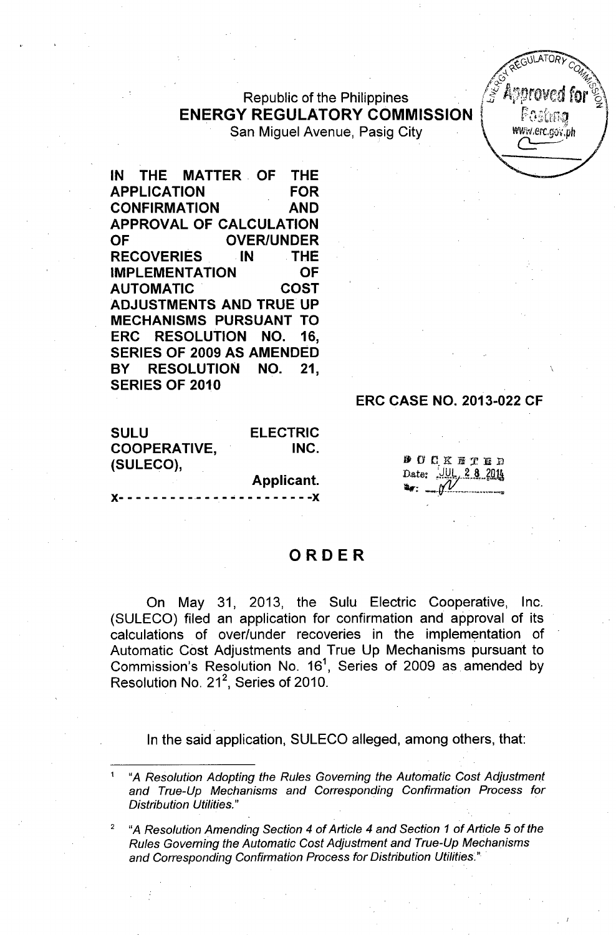### **Republic of the Philippines ENERGY REGULATORY COMMISSION** | **ENERGY REGULATORY COMMISSION** | **ENERGY REGULATORY COMMISSION** San Miguel Avenue, Pasig City

 $Z$ GULATURY C  $\frac{1}{\sqrt{2}}$  ,  $\frac{1}{\sqrt{2}}$  ,  $\frac{1}{\sqrt{2}}$ 

**IN THE MATTER. OF THE APPLICATION FOR CONFIRMATION AND APPROVAL OF CALCULATION** OF OVER/UNDER **RECOVERIES IN .THE IMPLEMENTATION OF AUTOMATIC COST ADJUSTMENTS AND TRUE UP MECHANISMS PURSUANT TO ERC RESOLUTION NO. 16, SERIES OF 2009 AS AMENDED BY RESOLUTION NO. 21, SERIES OF 2010**

#### **SULU COOPERATIVE, (SULECO), ELECTRIC INC.**

**Applicant.** )(- - - - - - - - \_.- - - - - - - - - - - - **- -)(**

# **ERC CASE NO. 2013-022 CF**

**DOCKETED** Date: UUL 2 8 2014

## **ORDER**

On May 31, 2013, the Sulu Electric Cooperative, Inc. (SULECO) filed an application for confirmation and approval of its calculations of over/under recoveries in the implementation of Automatic Cost Adjustments and True Up Mechanisms pursuant to Commission's Resolution No. 16<sup>1</sup>, Series of 2009 as amended by Resolution No. 21 $^2$ , Series of 2010.

In the said application, SULECO alleged, among others, that:

<sup>1</sup> *"A Resolution Adopting the Rules Governing the Automatic Cost Adjustment and True-Up Mechanisms and Corresponding Confirmation Process for Distribution Utilities."*

<sup>2</sup> *"A Resolution Amending Section* 4 *of Article* 4 *and Section* 1 *of Article* 5 *of the Rules Governing the Automatic Cost Adjustment and True-Up Mechanisms and Corresponding Confirmation Process for Distribution Utilities."*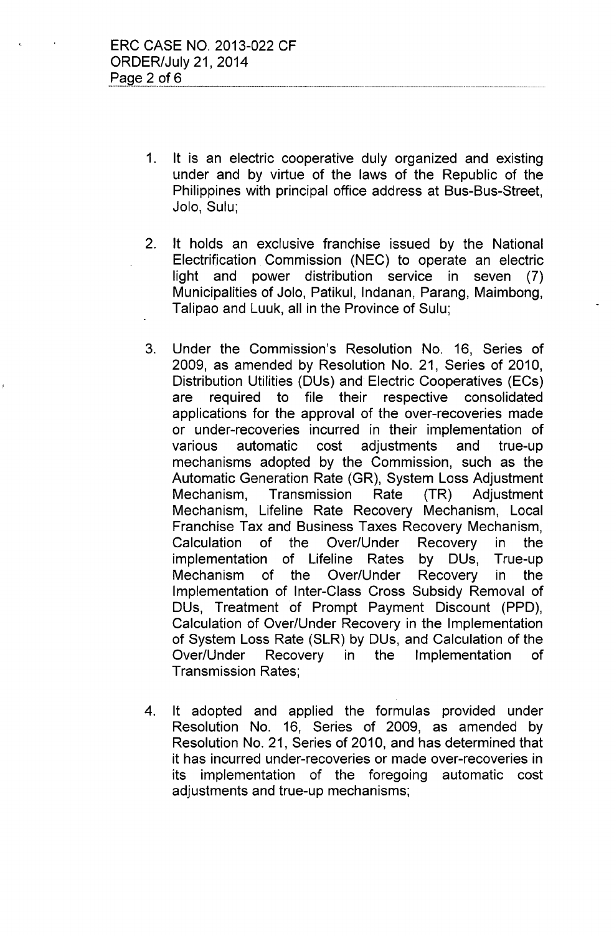- 1. It is an electric cooperative duly organized and existing under and by virtue of the laws of the Republic of the Philippines with principal office address at Bus-Bus-Street, Jolo, Sulu;
- 2. It holds an exclusive franchise issued by the National Electrification Commission (NEC) to operate an electric light and power distribution service in seven (7) Municipalities of Jolo, Patikul, Indanan, Parang, Maimbong, Talipao and Luuk, all in the Province of Sulu;
- 3. Under the Commission's Resolution No. 16, Series of 2009, as amended by Resolution No. 21, Series of 2010, Distribution Utilities (DUs) and Electric Cooperatives (ECs) are required to file their respective consolidated applications for the approval of the over-recoveries made or under-recoveries incurred in their implementation of various automatic cost adjustments and true-up mechanisms adopted by the Commission, such as the Automatic Generation Rate (GR), System Loss Adjustment Mechanism, Transmission Rate (TR) Adjustment Mechanism, Lifeline Rate Recovery Mechanism, Local Franchise Tax and Business Taxes Recovery Mechanism, Calculation of the Over/Under Recovery in the implementation of Lifeline Rates by DUs, True-up Mechanism of the Over/Under Recovery in the Implementation of Inter-Class Cross Subsidy Removal of DUs, Treatment of Prompt Payment Discount (PPD), Calculation of Over/Under Recovery in the Implementation of System Loss Rate (SLR) by DUs, and Calculation of the Over/Under Recovery in the Implementation of Transmission Rates;
- 4. It adopted and applied the formulas provided under Resolution No. 16, Series of 2009, as amended by Resolution No. 21, Series of 2010, and has determined that it has incurred under-recoveries or made over-recoveries in its implementation of the foregoing automatic cost adjustments and true-up mechanisms;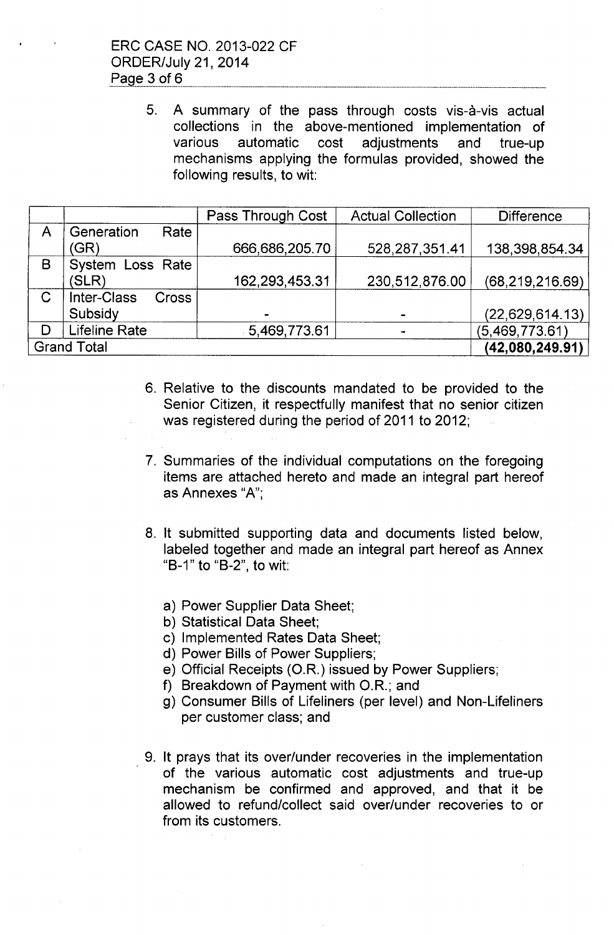5. A summary of the pass through costs vis-à-vis actual collections in the above-mentioned implementation of various automatic cost adjustments and true-up mechanisms applying the formulas provided, showed the following results, to wit:

|                    |                                    | Pass Through Cost | <b>Actual Collection</b> | <b>Difference</b> |
|--------------------|------------------------------------|-------------------|--------------------------|-------------------|
| A                  | Generation<br>Rate                 |                   |                          |                   |
|                    | (GR)                               | 666,686,205.70    | 528, 287, 351.41         | 138,398,854.34    |
| B                  | System Loss Rate                   |                   |                          |                   |
|                    | (SLR)                              | 162,293,453.31    | 230,512,876.00           | (68, 219, 216.69) |
| $\mathsf C$        | <b>Inter-Class</b><br><b>Cross</b> |                   |                          |                   |
|                    | Subsidy                            |                   |                          | (22, 629, 614.13) |
| D                  | <b>Lifeline Rate</b>               | 5,469,773.61      |                          | (5,469,773.61)    |
| <b>Grand Total</b> |                                    |                   |                          | (42,080,249.91)   |

- 6. Relative to the discounts mandated to be provided to the Senior Citizen, it respectfully manifest that no senior citizen was registered during the period of 2011 to 2012;
- 7. Summaries of the individual computations on the foregoing items are attached hereto and made an integral part hereof as Annexes "A'",
- 8. It submitted supporting data and documents listed below, labeled together and made an integral part hereof as Annex "B-1" to "B-2", to wit:
	- a) Power Supplier Data Sheet;
	- b) Statistical Data Sheet;
	- c) Implemented Rates Data Sheet;
	- d) Power Bills of Power Suppliers;
	- e) Official Receipts *(OR.)* issued by Power Suppliers;
	- f) Breakdown of Payment with O.R.; and
	- g) Consumer Bills of Lifeliners (per level) and Non-Lifeliners per customer class; and
- 9. It prays that its over/under recoveries in the implementation of the various automatic cost adjustments and true-up mechanism be confirmed and approved, and that it be allowed to refund/collect said over/under recoveries to or from its customers.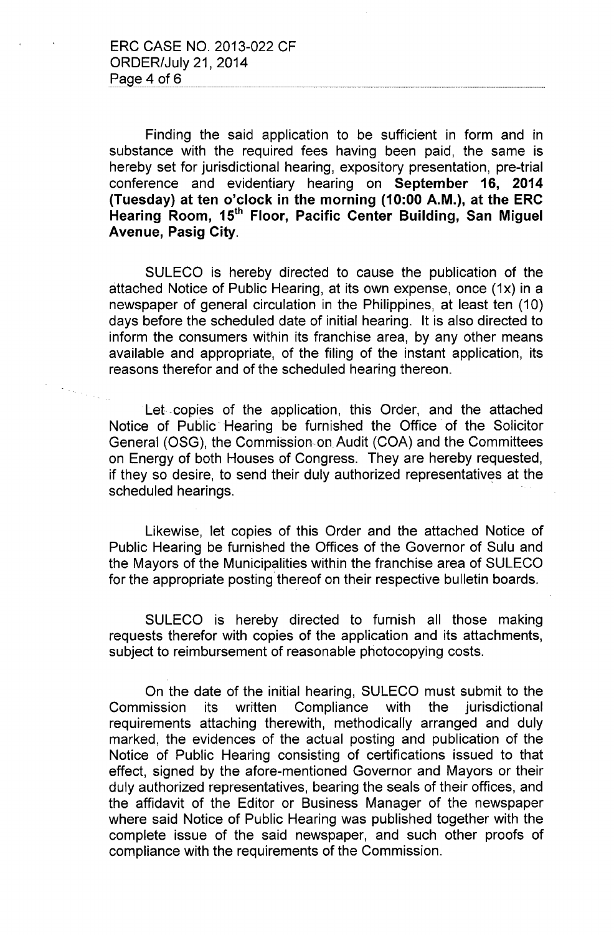Finding the said application to be sufficient in form and in substance with the required fees having been paid, the same is hereby set for jurisdictional hearing, expository presentation, pre-trial conference and evidentiary hearing on September 16, 2014 (Tuesday) at ten o'clock in the morning (10:00 A.M.), at the ERC Hearing Room, 15<sup>th</sup> Floor, Pacific Center Building, San Miguel Avenue, Pasig City.

SULECO is hereby directed to cause the publication of the attached Notice of Public Hearing, at its own expense, once (1x) in a newspaper of general circulation in the Philippines, at least ten (10) days before the scheduled date of initial hearing. It is also directed to inform the consumers within its franchise area, by any other means available and appropriate, of the filing of the instant application, its reasons therefor and of the scheduled hearing thereon.

Let .copies of the application, this Order, and the attached Notice of Public" Hearing be furnished the Office' of the Solicitor General (OSG), the Commission-on. Audit (COA) and the Committees on Energy of both Houses of Congress. They are hereby requested, if they so desire, to send their duly authorized representatives at the scheduled hearings.

Likewise, let copies of this Order and the attached Notice of Public Hearing be furnished the Offices of the Governor of Sulu and the Mayors of the Municipalities within the franchise area of SULECO for the appropriate posting thereof on their respective bulletin boards.

SULECO is hereby directed to furnish all those making requests therefor with copies of the application and its attachments, subject to reimbursement of reasonable photocopying costs.

On the date of the initial hearing, SULECO must submit to the Commission its written Compliance with the jurisdictional requirements attaching therewith, methodically arranged and duly marked, the evidences of the actual posting and publication of the Notice of Public Hearing consisting of certifications issued to that effect, signed by the afore-mentioned Governor and Mayors or their duly authorized representatives, bearing the seals of their offices, and the affidavit of the Editor or Business Manager of the newspaper where said Notice of Public Hearing was published together with the complete issue of the said newspaper, and such other proofs of compliance with the requirements of the Commission.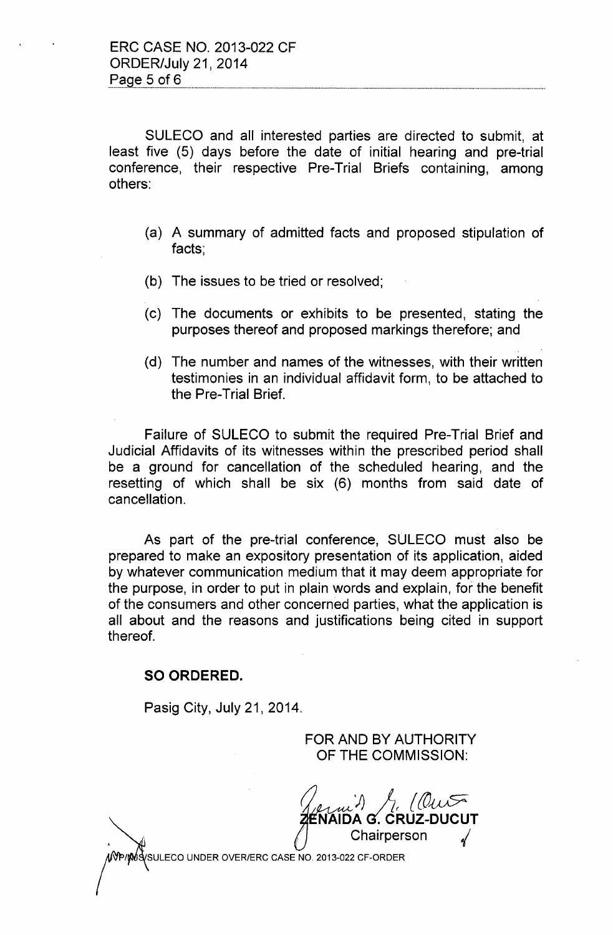SULECO and all interested parties are directed to submit, at least five (5) days before the date of initial hearing and pre-trial conference, their respective Pre-Trial Briefs containing, among others:

- (a) A summary of admitted facts and proposed stipulation of facts;
- (b) The issues to be tried or resolved;
- (c) The documents or exhibits to be presented, stating the purposes thereof and proposed markings therefore; and
- (d) The number and names of the witnesses, with their written testimonies in an individual affidavit form, to be attached to the Pre-Trial Brief.

Failure of SULECO to submit the required Pre-Trial Brief and Judicial Affidavits of its witnesses within the prescribed period shall be a ground for cancellation of the scheduled hearing, and the resetting of which shall be six (6) months from said date of cancellation.

As part of the pre-trial conference, SULECO must also be prepared to make an expository presentation of its application, aided by whatever communication medium that it may deem appropriate for the purpose, in order to put in plain words and explain, for the benefit of the consumers and other concerned parties, what the application is all about and the reasons and justifications being cited in support thereof.

### **SO ORDERED.**

Pasig City, July 21, 2014.

FOR AND BY AUTHORITY OF THE COMMISSION:

J; A( *{(O~* **NAIDA** *G*. CRUZ-DUCUT Chairperson

SULECO UNDER OVER/ERC CASE NO. 2013-022 CF-ORDER